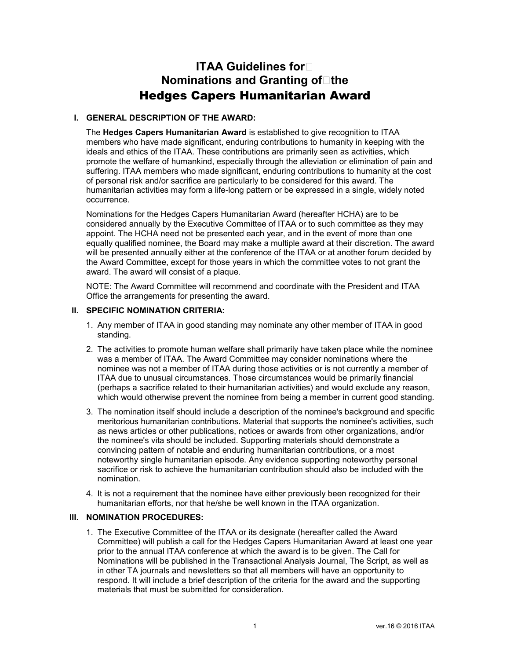# **ITAA Guidelines for Nominations and Granting of The** Hedges Capers Humanitarian Award

## **I. GENERAL DESCRIPTION OF THE AWARD:**

The **Hedges Capers Humanitarian Award** is established to give recognition to ITAA members who have made significant, enduring contributions to humanity in keeping with the ideals and ethics of the ITAA. These contributions are primarily seen as activities, which promote the welfare of humankind, especially through the alleviation or elimination of pain and suffering. ITAA members who made significant, enduring contributions to humanity at the cost of personal risk and/or sacrifice are particularly to be considered for this award. The humanitarian activities may form a life-long pattern or be expressed in a single, widely noted occurrence.

Nominations for the Hedges Capers Humanitarian Award (hereafter HCHA) are to be considered annually by the Executive Committee of ITAA or to such committee as they may appoint. The HCHA need not be presented each year, and in the event of more than one equally qualified nominee, the Board may make a multiple award at their discretion. The award will be presented annually either at the conference of the ITAA or at another forum decided by the Award Committee, except for those years in which the committee votes to not grant the award. The award will consist of a plaque.

NOTE: The Award Committee will recommend and coordinate with the President and ITAA Office the arrangements for presenting the award.

# **II. SPECIFIC NOMINATION CRITERIA:**

- 1. Any member of ITAA in good standing may nominate any other member of ITAA in good standing.
- 2. The activities to promote human welfare shall primarily have taken place while the nominee was a member of ITAA. The Award Committee may consider nominations where the nominee was not a member of ITAA during those activities or is not currently a member of ITAA due to unusual circumstances. Those circumstances would be primarily financial (perhaps a sacrifice related to their humanitarian activities) and would exclude any reason, which would otherwise prevent the nominee from being a member in current good standing.
- 3. The nomination itself should include a description of the nominee's background and specific meritorious humanitarian contributions. Material that supports the nominee's activities, such as news articles or other publications, notices or awards from other organizations, and/or the nominee's vita should be included. Supporting materials should demonstrate a convincing pattern of notable and enduring humanitarian contributions, or a most noteworthy single humanitarian episode. Any evidence supporting noteworthy personal sacrifice or risk to achieve the humanitarian contribution should also be included with the nomination.
- 4. It is not a requirement that the nominee have either previously been recognized for their humanitarian efforts, nor that he/she be well known in the ITAA organization.

## **III. NOMINATION PROCEDURES:**

1. The Executive Committee of the ITAA or its designate (hereafter called the Award Committee) will publish a call for the Hedges Capers Humanitarian Award at least one year prior to the annual ITAA conference at which the award is to be given. The Call for Nominations will be published in the Transactional Analysis Journal, The Script, as well as in other TA journals and newsletters so that all members will have an opportunity to respond. It will include a brief description of the criteria for the award and the supporting materials that must be submitted for consideration.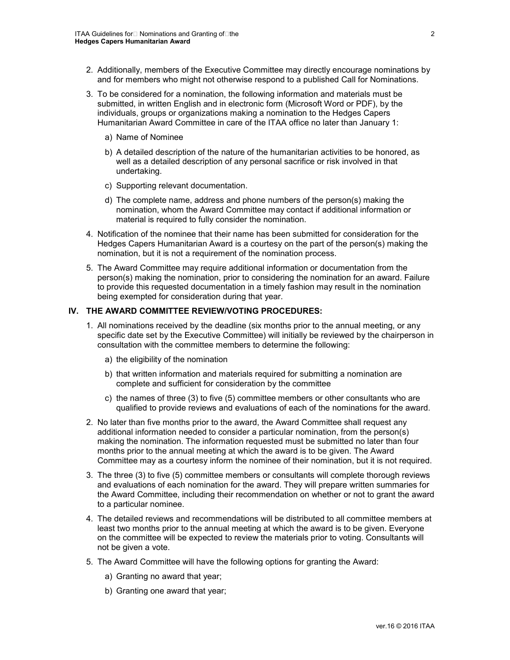- 2. Additionally, members of the Executive Committee may directly encourage nominations by and for members who might not otherwise respond to a published Call for Nominations.
- 3. To be considered for a nomination, the following information and materials must be submitted, in written English and in electronic form (Microsoft Word or PDF), by the individuals, groups or organizations making a nomination to the Hedges Capers Humanitarian Award Committee in care of the ITAA office no later than January 1:
	- a) Name of Nominee
	- b) A detailed description of the nature of the humanitarian activities to be honored, as well as a detailed description of any personal sacrifice or risk involved in that undertaking.
	- c) Supporting relevant documentation.
	- d) The complete name, address and phone numbers of the person(s) making the nomination, whom the Award Committee may contact if additional information or material is required to fully consider the nomination.
- 4. Notification of the nominee that their name has been submitted for consideration for the Hedges Capers Humanitarian Award is a courtesy on the part of the person(s) making the nomination, but it is not a requirement of the nomination process.
- 5. The Award Committee may require additional information or documentation from the person(s) making the nomination, prior to considering the nomination for an award. Failure to provide this requested documentation in a timely fashion may result in the nomination being exempted for consideration during that year.

#### **IV. THE AWARD COMMITTEE REVIEW/VOTING PROCEDURES:**

- 1. All nominations received by the deadline (six months prior to the annual meeting, or any specific date set by the Executive Committee) will initially be reviewed by the chairperson in consultation with the committee members to determine the following:
	- a) the eligibility of the nomination
	- b) that written information and materials required for submitting a nomination are complete and sufficient for consideration by the committee
	- c) the names of three (3) to five (5) committee members or other consultants who are qualified to provide reviews and evaluations of each of the nominations for the award.
- 2. No later than five months prior to the award, the Award Committee shall request any additional information needed to consider a particular nomination, from the person(s) making the nomination. The information requested must be submitted no later than four months prior to the annual meeting at which the award is to be given. The Award Committee may as a courtesy inform the nominee of their nomination, but it is not required.
- 3. The three (3) to five (5) committee members or consultants will complete thorough reviews and evaluations of each nomination for the award. They will prepare written summaries for the Award Committee, including their recommendation on whether or not to grant the award to a particular nominee.
- 4. The detailed reviews and recommendations will be distributed to all committee members at least two months prior to the annual meeting at which the award is to be given. Everyone on the committee will be expected to review the materials prior to voting. Consultants will not be given a vote.
- 5. The Award Committee will have the following options for granting the Award:
	- a) Granting no award that year;
	- b) Granting one award that year;